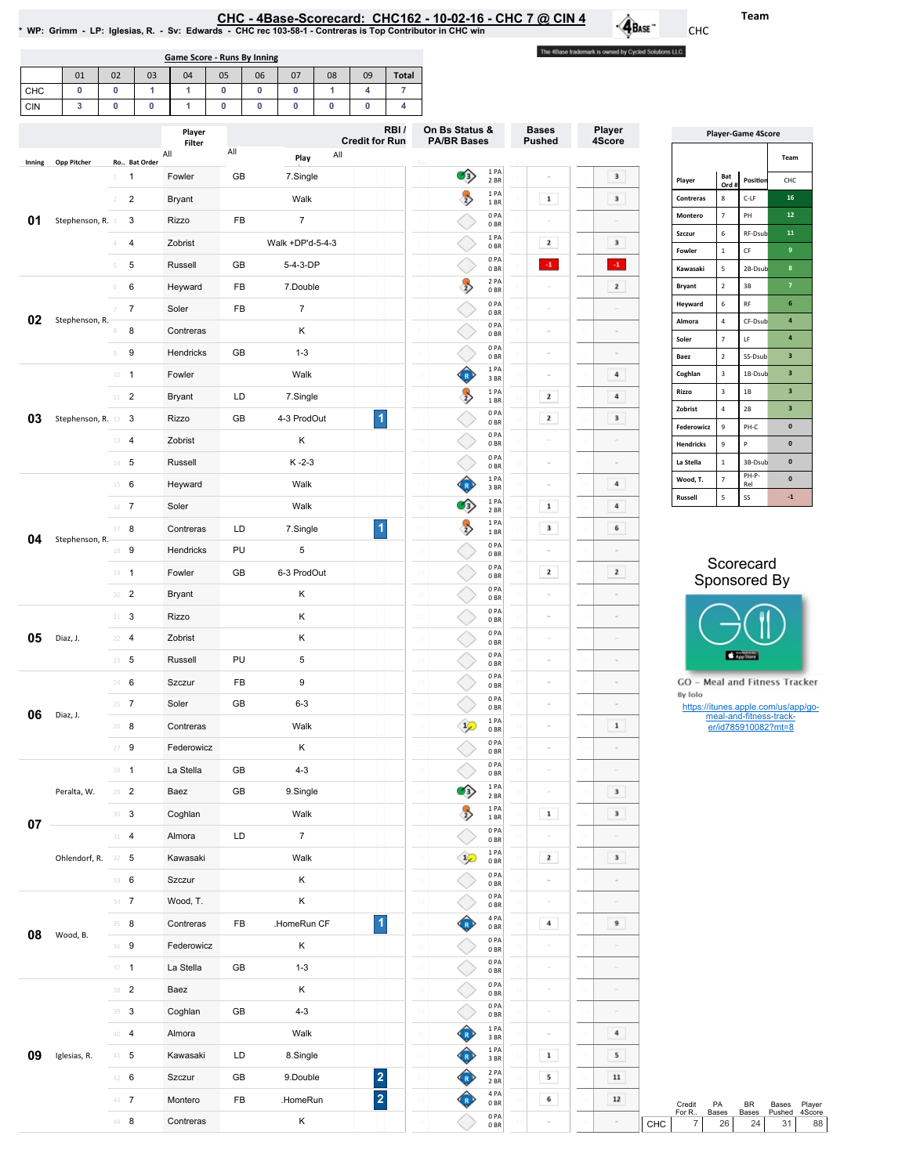|  |  |  |  | CHC - 4Base-Scorecard: CHC162 - 10-02-16 - CHC 7 @ CIN 4 |  |
|--|--|--|--|----------------------------------------------------------|--|
|  |  |  |  |                                                          |  |

Team

CHC

 $\hat{\mathbf{A}}_{\text{Base}}$ 

The 4Base trademark is owned by Cycled Solutions LLC.

|  | NP: Grimm - LP: Iglesias, R. - Sv: Edwards - CHC rec 103-58-1 - Contreras is Top Contributor in CHC win * |  |
|--|-----------------------------------------------------------------------------------------------------------|--|
|  |                                                                                                           |  |

|     | Game Score - Runs By Inning                                        |  |  |  |  |  |  |  |  |  |  |  |  |  |  |
|-----|--------------------------------------------------------------------|--|--|--|--|--|--|--|--|--|--|--|--|--|--|
|     | 05<br>08<br>02<br>07<br><b>Total</b><br>06<br>09<br>03<br>04<br>01 |  |  |  |  |  |  |  |  |  |  |  |  |  |  |
| CHC |                                                                    |  |  |  |  |  |  |  |  |  |  |  |  |  |  |
| CIN |                                                                    |  |  |  |  |  |  |  |  |  |  |  |  |  |  |

| All<br>All<br>All<br>Play<br>Team<br><b>Opp Pitcher</b><br>Ro Bat Order<br>Inning<br>1PA<br>თ<br>Fowler<br>GB<br>7.Single<br>$\mathbf 3$<br>$\overline{1}$<br>Bat<br>$\mathbf{1}$<br>$\sim$<br>2 BR<br>Player<br>Position<br>CHC<br>Ord<br>1PA<br>$\rightarrow$<br>16<br>$\mathbf 1$<br>$\bf 8$<br>$\overline{2}$<br>$\mathbf 3$<br>$C-LF$<br>Walk<br>Contreras<br>$\mathcal{I}$<br>Bryant<br>1 BR<br>$\overline{7}$<br>0PA<br>PH<br>$12\,$<br>Montero<br>01<br>Stephenson, R. 3<br>3<br>Rizzo<br>FB<br>$\overline{7}$<br>$\sim$<br>0BR<br>$\sf 6$<br>RF-Dsub<br>11<br>Szczur<br>1PA<br>Walk +DP'd-5-4-3<br>$\mathbf{z}$<br>$\mathbf 3$<br>$\overline{4}$<br>Zobrist<br>4<br>0 <sub>BR</sub><br>9<br>$\mathbf 1$<br>$\mathsf{CF}$<br>Fowler<br>0PA<br>$\cdot 1$<br>$\cdot 1$<br>5<br>Russell<br>GB<br>5-4-3-DP<br>5<br>${\sf 5}$<br>8<br>0 <sub>BR</sub><br>Kawasaki<br>2B-Dsub<br>2 PA<br>$\rightarrow$<br>$\mathbf{z}$<br>$\mathbf 2$<br>3B<br>6<br>FB<br>7.Double<br>Bryant<br>$\overline{7}$<br>6<br>Heyward<br>0BR<br>$6\phantom{1}$<br>$\sf 6$<br>$\mathsf{RF}$<br>0PA<br>Heyward<br>$\overline{7}$<br>FB<br>$\overline{7}$<br>Soler<br>$\overline{7}$<br>0 <sub>BR</sub><br>02<br>Stephenson, R.<br>$\overline{\mathbf{4}}$<br>$\sqrt{4}$<br>CF-Dsub<br>Almora<br>0PA<br>8<br>Κ<br>Contreras<br>$\equiv$<br>8<br>0BR<br>$\pmb{4}$<br>$\mathsf{LF}% _{0}\left( t\right) \rightarrow\mathsf{LF}_{0}\left( t\right)$<br>$\scriptstyle\rm 7$<br>Soler<br>0PA<br>9<br>$1 - 3$<br>Hendricks<br>GB<br>$\circledcirc$<br>$\mathbf 2$<br>$\overline{\mathbf{3}}$<br>SS-Dsub<br>0 <sub>BR</sub><br>Baez<br>1 PA<br>$\mathsf 3$<br>$\overline{\mathbf{3}}$<br>$\bf{4}$<br>Coghlan<br>1B-Dsub<br>Walk<br>$10 - 1$<br>Fowler<br>Ø<br>$\sim$<br>3BR<br>$\mathsf 3$<br>3<br>Rizzo<br>$1\mathrm{B}$<br>1 PA<br>$\rightarrow$<br>LD<br>2<br>$\bf{4}$<br>$11$ 2<br>7.Single<br><b>Bryant</b><br>1BR<br>$\sqrt{4}$<br>Zobrist<br>$2\mathsf{B}$<br>$\overline{\mathbf{3}}$<br>0PA<br>$\vert$ 1<br>2<br>03<br>Stephenson, R. 12 3<br>Rizzo<br>GB<br>4-3 ProdOut<br>3<br>0 <sub>BR</sub><br>$\mathsf g$<br>PH-C<br>$\pmb{0}$<br>Federowicz<br>0PA<br>$13 - 4$<br>Zobrist<br>Κ<br>0 <sub>BR</sub><br>$\mathsf{P}$<br>$\pmb{0}$<br><b>Hendricks</b><br>$\mathsf g$<br>0PA<br>$14 - 5$<br>$K - 2 - 3$<br>3B-Dsul<br>$\pmb{0}$<br>Russell<br>La Stella<br>$\,1\,$<br>0 <sub>BR</sub><br>PH-P-<br>1PA<br>$\mathbf{0}$<br>$\overline{\phantom{a}}$<br>$\left( \frac{R}{R} \right)$<br>Wood, T.<br>4<br>$15 \t 6$<br>Walk<br>Heyward<br>Rel<br>3BR<br>$\sf 5$<br>SS<br>$^{\rm -1}$<br>Russell<br>1 PA<br>$\bullet$<br>$\mathbf 1$<br>4<br>16 7<br>Walk<br>Soler<br>2 BR<br>1 PA<br>$\rightarrow$<br>$\vert$ 1<br>$\mathbf 3$<br>6<br>17 8<br>LD<br>7.Single<br>Contreras<br>1 BR<br>04<br>Stephenson, R.<br>0PA<br>PU<br>18 9<br>Hendricks<br>$\sqrt{5}$<br>$\sim$<br>$\sim$<br>0BR<br>Scorecard<br>0PA<br>GB<br>6-3 ProdOut<br>2<br>$\mathbf{z}$<br>Fowler<br>$19 - 1$<br>0 <sub>BR</sub><br>Sponsored By<br>0PA<br>$20 - 2$<br><b>Bryant</b><br>Κ<br>$\alpha$<br>$\sim$<br>0BR<br>0PA<br>$21 - 3$<br>Rizzo<br>Κ<br>$\sim$<br>0 <sub>BR</sub><br>0PA<br>Κ<br>05<br>Zobrist<br>Diaz, J.<br>$22 - 4$<br>$\alpha$<br>0 <sub>BR</sub><br>App Store<br>0PA<br>PU<br>$\,$ 5 $\,$<br>$23 - 5$<br>Russell<br>$\alpha$<br>0 <sub>BR</sub><br>0PA<br>24 6<br>$\boldsymbol{9}$<br>GO - Meal and Fitness Tracker<br>FB<br>Szczur<br>$\alpha$<br>0BR<br>By Iolo<br>0PA<br>$25 - 7$<br>Soler<br>GB<br>$6 - 3$<br>$\sim$<br>https://itunes.apple.com/us/app/go-<br>0BR<br>06<br>Diaz, J.<br>meal-and-fitness-track-<br>1 PA<br>$\sqrt{10}$<br>$26$ 8<br>Walk<br>$\mathbf 1$<br>Contreras<br>er/id785910082?mt=8<br>$\equiv$<br>0BR<br>0PA<br>$27 - 9$<br>Federowicz<br>Κ<br>$\alpha$<br>0BR<br>0PA<br>La Stella<br>GB<br>$4 - 3$<br>$28 - 1$<br>0 <sub>BR</sub><br>1 PA<br>GB<br>C3)<br>Peralta, W.<br>$29$ <b>2</b><br>Baez<br>9.Single<br>$\mathbf{3}$<br>$\equiv$<br>2 BR<br>1PA<br>$\rightarrow$<br>$\,$ 1 $\,$<br>$30-3$<br>$\mathbf{3}$<br>Coghlan<br>Walk<br>$1\,\mathrm{BR}$<br>0PA<br>$31 - 4$<br>LD<br>$7^{\circ}$<br>Almora<br>0BR<br>1PA<br>$\mathcal{P}$<br>$\mathbf{z}$<br>$\mathbf{3}$<br>Ohlendorf, R. 32 5<br>Kawasaki<br>Walk<br>0 <sub>BR</sub><br>0PA<br>Κ<br>33 6<br>Szczur<br>$\sim$<br>0 B R<br>0PA<br>Κ<br>$34 \t 7$<br>Wood, T.<br>$\equiv$<br>$\alpha$<br>0 B R<br>4 PA<br>♦<br>$\vert$ 1<br>$\bf{4}$<br>$35 - 8$<br>HomeRun CF<br>9<br>Contreras<br>FB<br>0B<br>08<br>Wood, B.<br>0PA<br>$36 - 9$<br>Κ<br>Federowicz<br>0BR<br>0PA<br>$37 - 1$<br>La Stella<br>GB<br>$1 - 3$<br>0B<br>0PA<br>$38$ 2<br>Κ<br>Baez<br>0 <sub>BR</sub><br>$0$ PA<br>$39 - 3$<br>GB<br>$4 - 3$<br>Coghlan<br>$\bar{a}$<br>0B<br>1 PA<br>$40-4$<br>Almora<br>Walk<br>$\overline{\mathbf{4}}$<br>O<br>$\sim$<br>3BR<br>$1\ \mathsf{PA}$<br><br>$\mathbf 1$<br>5<br>09<br>$41 - 5$<br>Kawasaki<br>LD<br>8.Single<br>Iglesias, R.<br>3 BR<br>2 PA<br>$\overline{\mathbf{2}}$<br>42 6<br>5<br>Szczur<br>GB<br>9.Double<br>${\bf 11}$<br>$-4$<br>R<br>2 BR<br>4 PA<br>$\overline{2}$<br>✿<br>6<br>$43$ 7<br>FB<br>12<br>Montero<br>.HomeRun<br>0BR<br>Credit<br>PA<br>BR<br>Bases<br>For R<br>Bases<br>Bases<br>Pushed<br>0PA<br>$44 - 8$<br>Κ<br>Contreras<br>$\boldsymbol{7}$<br>26<br>24<br>31<br>0BR |    |  | Player | RBI/<br><b>Credit for Run</b> |  | On Bs Status &<br><b>PA/BR Bases</b> |  | Player<br><b>Bases</b><br>4Score |  | <b>Player-Game 4Score</b> |  |  |     |  |  |        |
|-----------------------------------------------------------------------------------------------------------------------------------------------------------------------------------------------------------------------------------------------------------------------------------------------------------------------------------------------------------------------------------------------------------------------------------------------------------------------------------------------------------------------------------------------------------------------------------------------------------------------------------------------------------------------------------------------------------------------------------------------------------------------------------------------------------------------------------------------------------------------------------------------------------------------------------------------------------------------------------------------------------------------------------------------------------------------------------------------------------------------------------------------------------------------------------------------------------------------------------------------------------------------------------------------------------------------------------------------------------------------------------------------------------------------------------------------------------------------------------------------------------------------------------------------------------------------------------------------------------------------------------------------------------------------------------------------------------------------------------------------------------------------------------------------------------------------------------------------------------------------------------------------------------------------------------------------------------------------------------------------------------------------------------------------------------------------------------------------------------------------------------------------------------------------------------------------------------------------------------------------------------------------------------------------------------------------------------------------------------------------------------------------------------------------------------------------------------------------------------------------------------------------------------------------------------------------------------------------------------------------------------------------------------------------------------------------------------------------------------------------------------------------------------------------------------------------------------------------------------------------------------------------------------------------------------------------------------------------------------------------------------------------------------------------------------------------------------------------------------------------------------------------------------------------------------------------------------------------------------------------------------------------------------------------------------------------------------------------------------------------------------------------------------------------------------------------------------------------------------------------------------------------------------------------------------------------------------------------------------------------------------------------------------------------------------------------------------------------------------------------------------------------------------------------------------------------------------------------------------------------------------------------------------------------------------------------------------------------------------------------------------------------------------------------------------------------------------------------------------------------------------------------------------------------------------------------------------------------------------------------------------------------------------------------------------------------------------------------------------------------------------------------------------------------------------------------------------------------------------------------------------------------------------------------------------------------------------------------------------------------------------------------------------------------------------------------------------------------------------------------------------------------------------------------------------------------------------------------------------------------------------------------------------------------------------------------------------------------------------------------------------------------------------------------------------------------------------------------------------------------------------------------------------------------------------------------------------------------------------------------------------------------|----|--|--------|-------------------------------|--|--------------------------------------|--|----------------------------------|--|---------------------------|--|--|-----|--|--|--------|
|                                                                                                                                                                                                                                                                                                                                                                                                                                                                                                                                                                                                                                                                                                                                                                                                                                                                                                                                                                                                                                                                                                                                                                                                                                                                                                                                                                                                                                                                                                                                                                                                                                                                                                                                                                                                                                                                                                                                                                                                                                                                                                                                                                                                                                                                                                                                                                                                                                                                                                                                                                                                                                                                                                                                                                                                                                                                                                                                                                                                                                                                                                                                                                                                                                                                                                                                                                                                                                                                                                                                                                                                                                                                                                                                                                                                                                                                                                                                                                                                                                                                                                                                                                                                                                                                                                                                                                                                                                                                                                                                                                                                                                                                                                                                                                                                                                                                                                                                                                                                                                                                                                                                                                                                                                                                       |    |  | Filter |                               |  |                                      |  |                                  |  | <b>Pushed</b>             |  |  |     |  |  |        |
|                                                                                                                                                                                                                                                                                                                                                                                                                                                                                                                                                                                                                                                                                                                                                                                                                                                                                                                                                                                                                                                                                                                                                                                                                                                                                                                                                                                                                                                                                                                                                                                                                                                                                                                                                                                                                                                                                                                                                                                                                                                                                                                                                                                                                                                                                                                                                                                                                                                                                                                                                                                                                                                                                                                                                                                                                                                                                                                                                                                                                                                                                                                                                                                                                                                                                                                                                                                                                                                                                                                                                                                                                                                                                                                                                                                                                                                                                                                                                                                                                                                                                                                                                                                                                                                                                                                                                                                                                                                                                                                                                                                                                                                                                                                                                                                                                                                                                                                                                                                                                                                                                                                                                                                                                                                                       |    |  |        |                               |  |                                      |  |                                  |  |                           |  |  |     |  |  |        |
|                                                                                                                                                                                                                                                                                                                                                                                                                                                                                                                                                                                                                                                                                                                                                                                                                                                                                                                                                                                                                                                                                                                                                                                                                                                                                                                                                                                                                                                                                                                                                                                                                                                                                                                                                                                                                                                                                                                                                                                                                                                                                                                                                                                                                                                                                                                                                                                                                                                                                                                                                                                                                                                                                                                                                                                                                                                                                                                                                                                                                                                                                                                                                                                                                                                                                                                                                                                                                                                                                                                                                                                                                                                                                                                                                                                                                                                                                                                                                                                                                                                                                                                                                                                                                                                                                                                                                                                                                                                                                                                                                                                                                                                                                                                                                                                                                                                                                                                                                                                                                                                                                                                                                                                                                                                                       |    |  |        |                               |  |                                      |  |                                  |  |                           |  |  |     |  |  |        |
|                                                                                                                                                                                                                                                                                                                                                                                                                                                                                                                                                                                                                                                                                                                                                                                                                                                                                                                                                                                                                                                                                                                                                                                                                                                                                                                                                                                                                                                                                                                                                                                                                                                                                                                                                                                                                                                                                                                                                                                                                                                                                                                                                                                                                                                                                                                                                                                                                                                                                                                                                                                                                                                                                                                                                                                                                                                                                                                                                                                                                                                                                                                                                                                                                                                                                                                                                                                                                                                                                                                                                                                                                                                                                                                                                                                                                                                                                                                                                                                                                                                                                                                                                                                                                                                                                                                                                                                                                                                                                                                                                                                                                                                                                                                                                                                                                                                                                                                                                                                                                                                                                                                                                                                                                                                                       |    |  |        |                               |  |                                      |  |                                  |  |                           |  |  |     |  |  |        |
|                                                                                                                                                                                                                                                                                                                                                                                                                                                                                                                                                                                                                                                                                                                                                                                                                                                                                                                                                                                                                                                                                                                                                                                                                                                                                                                                                                                                                                                                                                                                                                                                                                                                                                                                                                                                                                                                                                                                                                                                                                                                                                                                                                                                                                                                                                                                                                                                                                                                                                                                                                                                                                                                                                                                                                                                                                                                                                                                                                                                                                                                                                                                                                                                                                                                                                                                                                                                                                                                                                                                                                                                                                                                                                                                                                                                                                                                                                                                                                                                                                                                                                                                                                                                                                                                                                                                                                                                                                                                                                                                                                                                                                                                                                                                                                                                                                                                                                                                                                                                                                                                                                                                                                                                                                                                       |    |  |        |                               |  |                                      |  |                                  |  |                           |  |  |     |  |  |        |
|                                                                                                                                                                                                                                                                                                                                                                                                                                                                                                                                                                                                                                                                                                                                                                                                                                                                                                                                                                                                                                                                                                                                                                                                                                                                                                                                                                                                                                                                                                                                                                                                                                                                                                                                                                                                                                                                                                                                                                                                                                                                                                                                                                                                                                                                                                                                                                                                                                                                                                                                                                                                                                                                                                                                                                                                                                                                                                                                                                                                                                                                                                                                                                                                                                                                                                                                                                                                                                                                                                                                                                                                                                                                                                                                                                                                                                                                                                                                                                                                                                                                                                                                                                                                                                                                                                                                                                                                                                                                                                                                                                                                                                                                                                                                                                                                                                                                                                                                                                                                                                                                                                                                                                                                                                                                       |    |  |        |                               |  |                                      |  |                                  |  |                           |  |  |     |  |  |        |
|                                                                                                                                                                                                                                                                                                                                                                                                                                                                                                                                                                                                                                                                                                                                                                                                                                                                                                                                                                                                                                                                                                                                                                                                                                                                                                                                                                                                                                                                                                                                                                                                                                                                                                                                                                                                                                                                                                                                                                                                                                                                                                                                                                                                                                                                                                                                                                                                                                                                                                                                                                                                                                                                                                                                                                                                                                                                                                                                                                                                                                                                                                                                                                                                                                                                                                                                                                                                                                                                                                                                                                                                                                                                                                                                                                                                                                                                                                                                                                                                                                                                                                                                                                                                                                                                                                                                                                                                                                                                                                                                                                                                                                                                                                                                                                                                                                                                                                                                                                                                                                                                                                                                                                                                                                                                       |    |  |        |                               |  |                                      |  |                                  |  |                           |  |  |     |  |  |        |
|                                                                                                                                                                                                                                                                                                                                                                                                                                                                                                                                                                                                                                                                                                                                                                                                                                                                                                                                                                                                                                                                                                                                                                                                                                                                                                                                                                                                                                                                                                                                                                                                                                                                                                                                                                                                                                                                                                                                                                                                                                                                                                                                                                                                                                                                                                                                                                                                                                                                                                                                                                                                                                                                                                                                                                                                                                                                                                                                                                                                                                                                                                                                                                                                                                                                                                                                                                                                                                                                                                                                                                                                                                                                                                                                                                                                                                                                                                                                                                                                                                                                                                                                                                                                                                                                                                                                                                                                                                                                                                                                                                                                                                                                                                                                                                                                                                                                                                                                                                                                                                                                                                                                                                                                                                                                       |    |  |        |                               |  |                                      |  |                                  |  |                           |  |  |     |  |  |        |
|                                                                                                                                                                                                                                                                                                                                                                                                                                                                                                                                                                                                                                                                                                                                                                                                                                                                                                                                                                                                                                                                                                                                                                                                                                                                                                                                                                                                                                                                                                                                                                                                                                                                                                                                                                                                                                                                                                                                                                                                                                                                                                                                                                                                                                                                                                                                                                                                                                                                                                                                                                                                                                                                                                                                                                                                                                                                                                                                                                                                                                                                                                                                                                                                                                                                                                                                                                                                                                                                                                                                                                                                                                                                                                                                                                                                                                                                                                                                                                                                                                                                                                                                                                                                                                                                                                                                                                                                                                                                                                                                                                                                                                                                                                                                                                                                                                                                                                                                                                                                                                                                                                                                                                                                                                                                       |    |  |        |                               |  |                                      |  |                                  |  |                           |  |  |     |  |  |        |
|                                                                                                                                                                                                                                                                                                                                                                                                                                                                                                                                                                                                                                                                                                                                                                                                                                                                                                                                                                                                                                                                                                                                                                                                                                                                                                                                                                                                                                                                                                                                                                                                                                                                                                                                                                                                                                                                                                                                                                                                                                                                                                                                                                                                                                                                                                                                                                                                                                                                                                                                                                                                                                                                                                                                                                                                                                                                                                                                                                                                                                                                                                                                                                                                                                                                                                                                                                                                                                                                                                                                                                                                                                                                                                                                                                                                                                                                                                                                                                                                                                                                                                                                                                                                                                                                                                                                                                                                                                                                                                                                                                                                                                                                                                                                                                                                                                                                                                                                                                                                                                                                                                                                                                                                                                                                       |    |  |        |                               |  |                                      |  |                                  |  |                           |  |  |     |  |  |        |
|                                                                                                                                                                                                                                                                                                                                                                                                                                                                                                                                                                                                                                                                                                                                                                                                                                                                                                                                                                                                                                                                                                                                                                                                                                                                                                                                                                                                                                                                                                                                                                                                                                                                                                                                                                                                                                                                                                                                                                                                                                                                                                                                                                                                                                                                                                                                                                                                                                                                                                                                                                                                                                                                                                                                                                                                                                                                                                                                                                                                                                                                                                                                                                                                                                                                                                                                                                                                                                                                                                                                                                                                                                                                                                                                                                                                                                                                                                                                                                                                                                                                                                                                                                                                                                                                                                                                                                                                                                                                                                                                                                                                                                                                                                                                                                                                                                                                                                                                                                                                                                                                                                                                                                                                                                                                       |    |  |        |                               |  |                                      |  |                                  |  |                           |  |  |     |  |  |        |
|                                                                                                                                                                                                                                                                                                                                                                                                                                                                                                                                                                                                                                                                                                                                                                                                                                                                                                                                                                                                                                                                                                                                                                                                                                                                                                                                                                                                                                                                                                                                                                                                                                                                                                                                                                                                                                                                                                                                                                                                                                                                                                                                                                                                                                                                                                                                                                                                                                                                                                                                                                                                                                                                                                                                                                                                                                                                                                                                                                                                                                                                                                                                                                                                                                                                                                                                                                                                                                                                                                                                                                                                                                                                                                                                                                                                                                                                                                                                                                                                                                                                                                                                                                                                                                                                                                                                                                                                                                                                                                                                                                                                                                                                                                                                                                                                                                                                                                                                                                                                                                                                                                                                                                                                                                                                       |    |  |        |                               |  |                                      |  |                                  |  |                           |  |  |     |  |  |        |
|                                                                                                                                                                                                                                                                                                                                                                                                                                                                                                                                                                                                                                                                                                                                                                                                                                                                                                                                                                                                                                                                                                                                                                                                                                                                                                                                                                                                                                                                                                                                                                                                                                                                                                                                                                                                                                                                                                                                                                                                                                                                                                                                                                                                                                                                                                                                                                                                                                                                                                                                                                                                                                                                                                                                                                                                                                                                                                                                                                                                                                                                                                                                                                                                                                                                                                                                                                                                                                                                                                                                                                                                                                                                                                                                                                                                                                                                                                                                                                                                                                                                                                                                                                                                                                                                                                                                                                                                                                                                                                                                                                                                                                                                                                                                                                                                                                                                                                                                                                                                                                                                                                                                                                                                                                                                       |    |  |        |                               |  |                                      |  |                                  |  |                           |  |  |     |  |  |        |
|                                                                                                                                                                                                                                                                                                                                                                                                                                                                                                                                                                                                                                                                                                                                                                                                                                                                                                                                                                                                                                                                                                                                                                                                                                                                                                                                                                                                                                                                                                                                                                                                                                                                                                                                                                                                                                                                                                                                                                                                                                                                                                                                                                                                                                                                                                                                                                                                                                                                                                                                                                                                                                                                                                                                                                                                                                                                                                                                                                                                                                                                                                                                                                                                                                                                                                                                                                                                                                                                                                                                                                                                                                                                                                                                                                                                                                                                                                                                                                                                                                                                                                                                                                                                                                                                                                                                                                                                                                                                                                                                                                                                                                                                                                                                                                                                                                                                                                                                                                                                                                                                                                                                                                                                                                                                       |    |  |        |                               |  |                                      |  |                                  |  |                           |  |  |     |  |  |        |
|                                                                                                                                                                                                                                                                                                                                                                                                                                                                                                                                                                                                                                                                                                                                                                                                                                                                                                                                                                                                                                                                                                                                                                                                                                                                                                                                                                                                                                                                                                                                                                                                                                                                                                                                                                                                                                                                                                                                                                                                                                                                                                                                                                                                                                                                                                                                                                                                                                                                                                                                                                                                                                                                                                                                                                                                                                                                                                                                                                                                                                                                                                                                                                                                                                                                                                                                                                                                                                                                                                                                                                                                                                                                                                                                                                                                                                                                                                                                                                                                                                                                                                                                                                                                                                                                                                                                                                                                                                                                                                                                                                                                                                                                                                                                                                                                                                                                                                                                                                                                                                                                                                                                                                                                                                                                       |    |  |        |                               |  |                                      |  |                                  |  |                           |  |  |     |  |  |        |
|                                                                                                                                                                                                                                                                                                                                                                                                                                                                                                                                                                                                                                                                                                                                                                                                                                                                                                                                                                                                                                                                                                                                                                                                                                                                                                                                                                                                                                                                                                                                                                                                                                                                                                                                                                                                                                                                                                                                                                                                                                                                                                                                                                                                                                                                                                                                                                                                                                                                                                                                                                                                                                                                                                                                                                                                                                                                                                                                                                                                                                                                                                                                                                                                                                                                                                                                                                                                                                                                                                                                                                                                                                                                                                                                                                                                                                                                                                                                                                                                                                                                                                                                                                                                                                                                                                                                                                                                                                                                                                                                                                                                                                                                                                                                                                                                                                                                                                                                                                                                                                                                                                                                                                                                                                                                       |    |  |        |                               |  |                                      |  |                                  |  |                           |  |  |     |  |  |        |
|                                                                                                                                                                                                                                                                                                                                                                                                                                                                                                                                                                                                                                                                                                                                                                                                                                                                                                                                                                                                                                                                                                                                                                                                                                                                                                                                                                                                                                                                                                                                                                                                                                                                                                                                                                                                                                                                                                                                                                                                                                                                                                                                                                                                                                                                                                                                                                                                                                                                                                                                                                                                                                                                                                                                                                                                                                                                                                                                                                                                                                                                                                                                                                                                                                                                                                                                                                                                                                                                                                                                                                                                                                                                                                                                                                                                                                                                                                                                                                                                                                                                                                                                                                                                                                                                                                                                                                                                                                                                                                                                                                                                                                                                                                                                                                                                                                                                                                                                                                                                                                                                                                                                                                                                                                                                       |    |  |        |                               |  |                                      |  |                                  |  |                           |  |  |     |  |  |        |
|                                                                                                                                                                                                                                                                                                                                                                                                                                                                                                                                                                                                                                                                                                                                                                                                                                                                                                                                                                                                                                                                                                                                                                                                                                                                                                                                                                                                                                                                                                                                                                                                                                                                                                                                                                                                                                                                                                                                                                                                                                                                                                                                                                                                                                                                                                                                                                                                                                                                                                                                                                                                                                                                                                                                                                                                                                                                                                                                                                                                                                                                                                                                                                                                                                                                                                                                                                                                                                                                                                                                                                                                                                                                                                                                                                                                                                                                                                                                                                                                                                                                                                                                                                                                                                                                                                                                                                                                                                                                                                                                                                                                                                                                                                                                                                                                                                                                                                                                                                                                                                                                                                                                                                                                                                                                       |    |  |        |                               |  |                                      |  |                                  |  |                           |  |  |     |  |  |        |
|                                                                                                                                                                                                                                                                                                                                                                                                                                                                                                                                                                                                                                                                                                                                                                                                                                                                                                                                                                                                                                                                                                                                                                                                                                                                                                                                                                                                                                                                                                                                                                                                                                                                                                                                                                                                                                                                                                                                                                                                                                                                                                                                                                                                                                                                                                                                                                                                                                                                                                                                                                                                                                                                                                                                                                                                                                                                                                                                                                                                                                                                                                                                                                                                                                                                                                                                                                                                                                                                                                                                                                                                                                                                                                                                                                                                                                                                                                                                                                                                                                                                                                                                                                                                                                                                                                                                                                                                                                                                                                                                                                                                                                                                                                                                                                                                                                                                                                                                                                                                                                                                                                                                                                                                                                                                       |    |  |        |                               |  |                                      |  |                                  |  |                           |  |  |     |  |  |        |
|                                                                                                                                                                                                                                                                                                                                                                                                                                                                                                                                                                                                                                                                                                                                                                                                                                                                                                                                                                                                                                                                                                                                                                                                                                                                                                                                                                                                                                                                                                                                                                                                                                                                                                                                                                                                                                                                                                                                                                                                                                                                                                                                                                                                                                                                                                                                                                                                                                                                                                                                                                                                                                                                                                                                                                                                                                                                                                                                                                                                                                                                                                                                                                                                                                                                                                                                                                                                                                                                                                                                                                                                                                                                                                                                                                                                                                                                                                                                                                                                                                                                                                                                                                                                                                                                                                                                                                                                                                                                                                                                                                                                                                                                                                                                                                                                                                                                                                                                                                                                                                                                                                                                                                                                                                                                       |    |  |        |                               |  |                                      |  |                                  |  |                           |  |  |     |  |  |        |
|                                                                                                                                                                                                                                                                                                                                                                                                                                                                                                                                                                                                                                                                                                                                                                                                                                                                                                                                                                                                                                                                                                                                                                                                                                                                                                                                                                                                                                                                                                                                                                                                                                                                                                                                                                                                                                                                                                                                                                                                                                                                                                                                                                                                                                                                                                                                                                                                                                                                                                                                                                                                                                                                                                                                                                                                                                                                                                                                                                                                                                                                                                                                                                                                                                                                                                                                                                                                                                                                                                                                                                                                                                                                                                                                                                                                                                                                                                                                                                                                                                                                                                                                                                                                                                                                                                                                                                                                                                                                                                                                                                                                                                                                                                                                                                                                                                                                                                                                                                                                                                                                                                                                                                                                                                                                       |    |  |        |                               |  |                                      |  |                                  |  |                           |  |  |     |  |  |        |
|                                                                                                                                                                                                                                                                                                                                                                                                                                                                                                                                                                                                                                                                                                                                                                                                                                                                                                                                                                                                                                                                                                                                                                                                                                                                                                                                                                                                                                                                                                                                                                                                                                                                                                                                                                                                                                                                                                                                                                                                                                                                                                                                                                                                                                                                                                                                                                                                                                                                                                                                                                                                                                                                                                                                                                                                                                                                                                                                                                                                                                                                                                                                                                                                                                                                                                                                                                                                                                                                                                                                                                                                                                                                                                                                                                                                                                                                                                                                                                                                                                                                                                                                                                                                                                                                                                                                                                                                                                                                                                                                                                                                                                                                                                                                                                                                                                                                                                                                                                                                                                                                                                                                                                                                                                                                       |    |  |        |                               |  |                                      |  |                                  |  |                           |  |  |     |  |  |        |
|                                                                                                                                                                                                                                                                                                                                                                                                                                                                                                                                                                                                                                                                                                                                                                                                                                                                                                                                                                                                                                                                                                                                                                                                                                                                                                                                                                                                                                                                                                                                                                                                                                                                                                                                                                                                                                                                                                                                                                                                                                                                                                                                                                                                                                                                                                                                                                                                                                                                                                                                                                                                                                                                                                                                                                                                                                                                                                                                                                                                                                                                                                                                                                                                                                                                                                                                                                                                                                                                                                                                                                                                                                                                                                                                                                                                                                                                                                                                                                                                                                                                                                                                                                                                                                                                                                                                                                                                                                                                                                                                                                                                                                                                                                                                                                                                                                                                                                                                                                                                                                                                                                                                                                                                                                                                       |    |  |        |                               |  |                                      |  |                                  |  |                           |  |  |     |  |  |        |
|                                                                                                                                                                                                                                                                                                                                                                                                                                                                                                                                                                                                                                                                                                                                                                                                                                                                                                                                                                                                                                                                                                                                                                                                                                                                                                                                                                                                                                                                                                                                                                                                                                                                                                                                                                                                                                                                                                                                                                                                                                                                                                                                                                                                                                                                                                                                                                                                                                                                                                                                                                                                                                                                                                                                                                                                                                                                                                                                                                                                                                                                                                                                                                                                                                                                                                                                                                                                                                                                                                                                                                                                                                                                                                                                                                                                                                                                                                                                                                                                                                                                                                                                                                                                                                                                                                                                                                                                                                                                                                                                                                                                                                                                                                                                                                                                                                                                                                                                                                                                                                                                                                                                                                                                                                                                       |    |  |        |                               |  |                                      |  |                                  |  |                           |  |  |     |  |  |        |
|                                                                                                                                                                                                                                                                                                                                                                                                                                                                                                                                                                                                                                                                                                                                                                                                                                                                                                                                                                                                                                                                                                                                                                                                                                                                                                                                                                                                                                                                                                                                                                                                                                                                                                                                                                                                                                                                                                                                                                                                                                                                                                                                                                                                                                                                                                                                                                                                                                                                                                                                                                                                                                                                                                                                                                                                                                                                                                                                                                                                                                                                                                                                                                                                                                                                                                                                                                                                                                                                                                                                                                                                                                                                                                                                                                                                                                                                                                                                                                                                                                                                                                                                                                                                                                                                                                                                                                                                                                                                                                                                                                                                                                                                                                                                                                                                                                                                                                                                                                                                                                                                                                                                                                                                                                                                       |    |  |        |                               |  |                                      |  |                                  |  |                           |  |  |     |  |  |        |
|                                                                                                                                                                                                                                                                                                                                                                                                                                                                                                                                                                                                                                                                                                                                                                                                                                                                                                                                                                                                                                                                                                                                                                                                                                                                                                                                                                                                                                                                                                                                                                                                                                                                                                                                                                                                                                                                                                                                                                                                                                                                                                                                                                                                                                                                                                                                                                                                                                                                                                                                                                                                                                                                                                                                                                                                                                                                                                                                                                                                                                                                                                                                                                                                                                                                                                                                                                                                                                                                                                                                                                                                                                                                                                                                                                                                                                                                                                                                                                                                                                                                                                                                                                                                                                                                                                                                                                                                                                                                                                                                                                                                                                                                                                                                                                                                                                                                                                                                                                                                                                                                                                                                                                                                                                                                       |    |  |        |                               |  |                                      |  |                                  |  |                           |  |  |     |  |  |        |
|                                                                                                                                                                                                                                                                                                                                                                                                                                                                                                                                                                                                                                                                                                                                                                                                                                                                                                                                                                                                                                                                                                                                                                                                                                                                                                                                                                                                                                                                                                                                                                                                                                                                                                                                                                                                                                                                                                                                                                                                                                                                                                                                                                                                                                                                                                                                                                                                                                                                                                                                                                                                                                                                                                                                                                                                                                                                                                                                                                                                                                                                                                                                                                                                                                                                                                                                                                                                                                                                                                                                                                                                                                                                                                                                                                                                                                                                                                                                                                                                                                                                                                                                                                                                                                                                                                                                                                                                                                                                                                                                                                                                                                                                                                                                                                                                                                                                                                                                                                                                                                                                                                                                                                                                                                                                       |    |  |        |                               |  |                                      |  |                                  |  |                           |  |  |     |  |  |        |
|                                                                                                                                                                                                                                                                                                                                                                                                                                                                                                                                                                                                                                                                                                                                                                                                                                                                                                                                                                                                                                                                                                                                                                                                                                                                                                                                                                                                                                                                                                                                                                                                                                                                                                                                                                                                                                                                                                                                                                                                                                                                                                                                                                                                                                                                                                                                                                                                                                                                                                                                                                                                                                                                                                                                                                                                                                                                                                                                                                                                                                                                                                                                                                                                                                                                                                                                                                                                                                                                                                                                                                                                                                                                                                                                                                                                                                                                                                                                                                                                                                                                                                                                                                                                                                                                                                                                                                                                                                                                                                                                                                                                                                                                                                                                                                                                                                                                                                                                                                                                                                                                                                                                                                                                                                                                       |    |  |        |                               |  |                                      |  |                                  |  |                           |  |  |     |  |  |        |
|                                                                                                                                                                                                                                                                                                                                                                                                                                                                                                                                                                                                                                                                                                                                                                                                                                                                                                                                                                                                                                                                                                                                                                                                                                                                                                                                                                                                                                                                                                                                                                                                                                                                                                                                                                                                                                                                                                                                                                                                                                                                                                                                                                                                                                                                                                                                                                                                                                                                                                                                                                                                                                                                                                                                                                                                                                                                                                                                                                                                                                                                                                                                                                                                                                                                                                                                                                                                                                                                                                                                                                                                                                                                                                                                                                                                                                                                                                                                                                                                                                                                                                                                                                                                                                                                                                                                                                                                                                                                                                                                                                                                                                                                                                                                                                                                                                                                                                                                                                                                                                                                                                                                                                                                                                                                       |    |  |        |                               |  |                                      |  |                                  |  |                           |  |  |     |  |  |        |
|                                                                                                                                                                                                                                                                                                                                                                                                                                                                                                                                                                                                                                                                                                                                                                                                                                                                                                                                                                                                                                                                                                                                                                                                                                                                                                                                                                                                                                                                                                                                                                                                                                                                                                                                                                                                                                                                                                                                                                                                                                                                                                                                                                                                                                                                                                                                                                                                                                                                                                                                                                                                                                                                                                                                                                                                                                                                                                                                                                                                                                                                                                                                                                                                                                                                                                                                                                                                                                                                                                                                                                                                                                                                                                                                                                                                                                                                                                                                                                                                                                                                                                                                                                                                                                                                                                                                                                                                                                                                                                                                                                                                                                                                                                                                                                                                                                                                                                                                                                                                                                                                                                                                                                                                                                                                       |    |  |        |                               |  |                                      |  |                                  |  |                           |  |  |     |  |  |        |
|                                                                                                                                                                                                                                                                                                                                                                                                                                                                                                                                                                                                                                                                                                                                                                                                                                                                                                                                                                                                                                                                                                                                                                                                                                                                                                                                                                                                                                                                                                                                                                                                                                                                                                                                                                                                                                                                                                                                                                                                                                                                                                                                                                                                                                                                                                                                                                                                                                                                                                                                                                                                                                                                                                                                                                                                                                                                                                                                                                                                                                                                                                                                                                                                                                                                                                                                                                                                                                                                                                                                                                                                                                                                                                                                                                                                                                                                                                                                                                                                                                                                                                                                                                                                                                                                                                                                                                                                                                                                                                                                                                                                                                                                                                                                                                                                                                                                                                                                                                                                                                                                                                                                                                                                                                                                       |    |  |        |                               |  |                                      |  |                                  |  |                           |  |  |     |  |  |        |
|                                                                                                                                                                                                                                                                                                                                                                                                                                                                                                                                                                                                                                                                                                                                                                                                                                                                                                                                                                                                                                                                                                                                                                                                                                                                                                                                                                                                                                                                                                                                                                                                                                                                                                                                                                                                                                                                                                                                                                                                                                                                                                                                                                                                                                                                                                                                                                                                                                                                                                                                                                                                                                                                                                                                                                                                                                                                                                                                                                                                                                                                                                                                                                                                                                                                                                                                                                                                                                                                                                                                                                                                                                                                                                                                                                                                                                                                                                                                                                                                                                                                                                                                                                                                                                                                                                                                                                                                                                                                                                                                                                                                                                                                                                                                                                                                                                                                                                                                                                                                                                                                                                                                                                                                                                                                       |    |  |        |                               |  |                                      |  |                                  |  |                           |  |  |     |  |  |        |
|                                                                                                                                                                                                                                                                                                                                                                                                                                                                                                                                                                                                                                                                                                                                                                                                                                                                                                                                                                                                                                                                                                                                                                                                                                                                                                                                                                                                                                                                                                                                                                                                                                                                                                                                                                                                                                                                                                                                                                                                                                                                                                                                                                                                                                                                                                                                                                                                                                                                                                                                                                                                                                                                                                                                                                                                                                                                                                                                                                                                                                                                                                                                                                                                                                                                                                                                                                                                                                                                                                                                                                                                                                                                                                                                                                                                                                                                                                                                                                                                                                                                                                                                                                                                                                                                                                                                                                                                                                                                                                                                                                                                                                                                                                                                                                                                                                                                                                                                                                                                                                                                                                                                                                                                                                                                       |    |  |        |                               |  |                                      |  |                                  |  |                           |  |  |     |  |  |        |
|                                                                                                                                                                                                                                                                                                                                                                                                                                                                                                                                                                                                                                                                                                                                                                                                                                                                                                                                                                                                                                                                                                                                                                                                                                                                                                                                                                                                                                                                                                                                                                                                                                                                                                                                                                                                                                                                                                                                                                                                                                                                                                                                                                                                                                                                                                                                                                                                                                                                                                                                                                                                                                                                                                                                                                                                                                                                                                                                                                                                                                                                                                                                                                                                                                                                                                                                                                                                                                                                                                                                                                                                                                                                                                                                                                                                                                                                                                                                                                                                                                                                                                                                                                                                                                                                                                                                                                                                                                                                                                                                                                                                                                                                                                                                                                                                                                                                                                                                                                                                                                                                                                                                                                                                                                                                       | 07 |  |        |                               |  |                                      |  |                                  |  |                           |  |  |     |  |  |        |
|                                                                                                                                                                                                                                                                                                                                                                                                                                                                                                                                                                                                                                                                                                                                                                                                                                                                                                                                                                                                                                                                                                                                                                                                                                                                                                                                                                                                                                                                                                                                                                                                                                                                                                                                                                                                                                                                                                                                                                                                                                                                                                                                                                                                                                                                                                                                                                                                                                                                                                                                                                                                                                                                                                                                                                                                                                                                                                                                                                                                                                                                                                                                                                                                                                                                                                                                                                                                                                                                                                                                                                                                                                                                                                                                                                                                                                                                                                                                                                                                                                                                                                                                                                                                                                                                                                                                                                                                                                                                                                                                                                                                                                                                                                                                                                                                                                                                                                                                                                                                                                                                                                                                                                                                                                                                       |    |  |        |                               |  |                                      |  |                                  |  |                           |  |  |     |  |  |        |
|                                                                                                                                                                                                                                                                                                                                                                                                                                                                                                                                                                                                                                                                                                                                                                                                                                                                                                                                                                                                                                                                                                                                                                                                                                                                                                                                                                                                                                                                                                                                                                                                                                                                                                                                                                                                                                                                                                                                                                                                                                                                                                                                                                                                                                                                                                                                                                                                                                                                                                                                                                                                                                                                                                                                                                                                                                                                                                                                                                                                                                                                                                                                                                                                                                                                                                                                                                                                                                                                                                                                                                                                                                                                                                                                                                                                                                                                                                                                                                                                                                                                                                                                                                                                                                                                                                                                                                                                                                                                                                                                                                                                                                                                                                                                                                                                                                                                                                                                                                                                                                                                                                                                                                                                                                                                       |    |  |        |                               |  |                                      |  |                                  |  |                           |  |  |     |  |  |        |
|                                                                                                                                                                                                                                                                                                                                                                                                                                                                                                                                                                                                                                                                                                                                                                                                                                                                                                                                                                                                                                                                                                                                                                                                                                                                                                                                                                                                                                                                                                                                                                                                                                                                                                                                                                                                                                                                                                                                                                                                                                                                                                                                                                                                                                                                                                                                                                                                                                                                                                                                                                                                                                                                                                                                                                                                                                                                                                                                                                                                                                                                                                                                                                                                                                                                                                                                                                                                                                                                                                                                                                                                                                                                                                                                                                                                                                                                                                                                                                                                                                                                                                                                                                                                                                                                                                                                                                                                                                                                                                                                                                                                                                                                                                                                                                                                                                                                                                                                                                                                                                                                                                                                                                                                                                                                       |    |  |        |                               |  |                                      |  |                                  |  |                           |  |  |     |  |  |        |
|                                                                                                                                                                                                                                                                                                                                                                                                                                                                                                                                                                                                                                                                                                                                                                                                                                                                                                                                                                                                                                                                                                                                                                                                                                                                                                                                                                                                                                                                                                                                                                                                                                                                                                                                                                                                                                                                                                                                                                                                                                                                                                                                                                                                                                                                                                                                                                                                                                                                                                                                                                                                                                                                                                                                                                                                                                                                                                                                                                                                                                                                                                                                                                                                                                                                                                                                                                                                                                                                                                                                                                                                                                                                                                                                                                                                                                                                                                                                                                                                                                                                                                                                                                                                                                                                                                                                                                                                                                                                                                                                                                                                                                                                                                                                                                                                                                                                                                                                                                                                                                                                                                                                                                                                                                                                       |    |  |        |                               |  |                                      |  |                                  |  |                           |  |  |     |  |  |        |
|                                                                                                                                                                                                                                                                                                                                                                                                                                                                                                                                                                                                                                                                                                                                                                                                                                                                                                                                                                                                                                                                                                                                                                                                                                                                                                                                                                                                                                                                                                                                                                                                                                                                                                                                                                                                                                                                                                                                                                                                                                                                                                                                                                                                                                                                                                                                                                                                                                                                                                                                                                                                                                                                                                                                                                                                                                                                                                                                                                                                                                                                                                                                                                                                                                                                                                                                                                                                                                                                                                                                                                                                                                                                                                                                                                                                                                                                                                                                                                                                                                                                                                                                                                                                                                                                                                                                                                                                                                                                                                                                                                                                                                                                                                                                                                                                                                                                                                                                                                                                                                                                                                                                                                                                                                                                       |    |  |        |                               |  |                                      |  |                                  |  |                           |  |  |     |  |  |        |
|                                                                                                                                                                                                                                                                                                                                                                                                                                                                                                                                                                                                                                                                                                                                                                                                                                                                                                                                                                                                                                                                                                                                                                                                                                                                                                                                                                                                                                                                                                                                                                                                                                                                                                                                                                                                                                                                                                                                                                                                                                                                                                                                                                                                                                                                                                                                                                                                                                                                                                                                                                                                                                                                                                                                                                                                                                                                                                                                                                                                                                                                                                                                                                                                                                                                                                                                                                                                                                                                                                                                                                                                                                                                                                                                                                                                                                                                                                                                                                                                                                                                                                                                                                                                                                                                                                                                                                                                                                                                                                                                                                                                                                                                                                                                                                                                                                                                                                                                                                                                                                                                                                                                                                                                                                                                       |    |  |        |                               |  |                                      |  |                                  |  |                           |  |  |     |  |  |        |
|                                                                                                                                                                                                                                                                                                                                                                                                                                                                                                                                                                                                                                                                                                                                                                                                                                                                                                                                                                                                                                                                                                                                                                                                                                                                                                                                                                                                                                                                                                                                                                                                                                                                                                                                                                                                                                                                                                                                                                                                                                                                                                                                                                                                                                                                                                                                                                                                                                                                                                                                                                                                                                                                                                                                                                                                                                                                                                                                                                                                                                                                                                                                                                                                                                                                                                                                                                                                                                                                                                                                                                                                                                                                                                                                                                                                                                                                                                                                                                                                                                                                                                                                                                                                                                                                                                                                                                                                                                                                                                                                                                                                                                                                                                                                                                                                                                                                                                                                                                                                                                                                                                                                                                                                                                                                       |    |  |        |                               |  |                                      |  |                                  |  |                           |  |  |     |  |  |        |
|                                                                                                                                                                                                                                                                                                                                                                                                                                                                                                                                                                                                                                                                                                                                                                                                                                                                                                                                                                                                                                                                                                                                                                                                                                                                                                                                                                                                                                                                                                                                                                                                                                                                                                                                                                                                                                                                                                                                                                                                                                                                                                                                                                                                                                                                                                                                                                                                                                                                                                                                                                                                                                                                                                                                                                                                                                                                                                                                                                                                                                                                                                                                                                                                                                                                                                                                                                                                                                                                                                                                                                                                                                                                                                                                                                                                                                                                                                                                                                                                                                                                                                                                                                                                                                                                                                                                                                                                                                                                                                                                                                                                                                                                                                                                                                                                                                                                                                                                                                                                                                                                                                                                                                                                                                                                       |    |  |        |                               |  |                                      |  |                                  |  |                           |  |  |     |  |  |        |
|                                                                                                                                                                                                                                                                                                                                                                                                                                                                                                                                                                                                                                                                                                                                                                                                                                                                                                                                                                                                                                                                                                                                                                                                                                                                                                                                                                                                                                                                                                                                                                                                                                                                                                                                                                                                                                                                                                                                                                                                                                                                                                                                                                                                                                                                                                                                                                                                                                                                                                                                                                                                                                                                                                                                                                                                                                                                                                                                                                                                                                                                                                                                                                                                                                                                                                                                                                                                                                                                                                                                                                                                                                                                                                                                                                                                                                                                                                                                                                                                                                                                                                                                                                                                                                                                                                                                                                                                                                                                                                                                                                                                                                                                                                                                                                                                                                                                                                                                                                                                                                                                                                                                                                                                                                                                       |    |  |        |                               |  |                                      |  |                                  |  |                           |  |  |     |  |  |        |
|                                                                                                                                                                                                                                                                                                                                                                                                                                                                                                                                                                                                                                                                                                                                                                                                                                                                                                                                                                                                                                                                                                                                                                                                                                                                                                                                                                                                                                                                                                                                                                                                                                                                                                                                                                                                                                                                                                                                                                                                                                                                                                                                                                                                                                                                                                                                                                                                                                                                                                                                                                                                                                                                                                                                                                                                                                                                                                                                                                                                                                                                                                                                                                                                                                                                                                                                                                                                                                                                                                                                                                                                                                                                                                                                                                                                                                                                                                                                                                                                                                                                                                                                                                                                                                                                                                                                                                                                                                                                                                                                                                                                                                                                                                                                                                                                                                                                                                                                                                                                                                                                                                                                                                                                                                                                       |    |  |        |                               |  |                                      |  |                                  |  |                           |  |  |     |  |  |        |
|                                                                                                                                                                                                                                                                                                                                                                                                                                                                                                                                                                                                                                                                                                                                                                                                                                                                                                                                                                                                                                                                                                                                                                                                                                                                                                                                                                                                                                                                                                                                                                                                                                                                                                                                                                                                                                                                                                                                                                                                                                                                                                                                                                                                                                                                                                                                                                                                                                                                                                                                                                                                                                                                                                                                                                                                                                                                                                                                                                                                                                                                                                                                                                                                                                                                                                                                                                                                                                                                                                                                                                                                                                                                                                                                                                                                                                                                                                                                                                                                                                                                                                                                                                                                                                                                                                                                                                                                                                                                                                                                                                                                                                                                                                                                                                                                                                                                                                                                                                                                                                                                                                                                                                                                                                                                       |    |  |        |                               |  |                                      |  |                                  |  |                           |  |  |     |  |  |        |
|                                                                                                                                                                                                                                                                                                                                                                                                                                                                                                                                                                                                                                                                                                                                                                                                                                                                                                                                                                                                                                                                                                                                                                                                                                                                                                                                                                                                                                                                                                                                                                                                                                                                                                                                                                                                                                                                                                                                                                                                                                                                                                                                                                                                                                                                                                                                                                                                                                                                                                                                                                                                                                                                                                                                                                                                                                                                                                                                                                                                                                                                                                                                                                                                                                                                                                                                                                                                                                                                                                                                                                                                                                                                                                                                                                                                                                                                                                                                                                                                                                                                                                                                                                                                                                                                                                                                                                                                                                                                                                                                                                                                                                                                                                                                                                                                                                                                                                                                                                                                                                                                                                                                                                                                                                                                       |    |  |        |                               |  |                                      |  |                                  |  |                           |  |  |     |  |  |        |
|                                                                                                                                                                                                                                                                                                                                                                                                                                                                                                                                                                                                                                                                                                                                                                                                                                                                                                                                                                                                                                                                                                                                                                                                                                                                                                                                                                                                                                                                                                                                                                                                                                                                                                                                                                                                                                                                                                                                                                                                                                                                                                                                                                                                                                                                                                                                                                                                                                                                                                                                                                                                                                                                                                                                                                                                                                                                                                                                                                                                                                                                                                                                                                                                                                                                                                                                                                                                                                                                                                                                                                                                                                                                                                                                                                                                                                                                                                                                                                                                                                                                                                                                                                                                                                                                                                                                                                                                                                                                                                                                                                                                                                                                                                                                                                                                                                                                                                                                                                                                                                                                                                                                                                                                                                                                       |    |  |        |                               |  |                                      |  |                                  |  |                           |  |  |     |  |  | Player |
|                                                                                                                                                                                                                                                                                                                                                                                                                                                                                                                                                                                                                                                                                                                                                                                                                                                                                                                                                                                                                                                                                                                                                                                                                                                                                                                                                                                                                                                                                                                                                                                                                                                                                                                                                                                                                                                                                                                                                                                                                                                                                                                                                                                                                                                                                                                                                                                                                                                                                                                                                                                                                                                                                                                                                                                                                                                                                                                                                                                                                                                                                                                                                                                                                                                                                                                                                                                                                                                                                                                                                                                                                                                                                                                                                                                                                                                                                                                                                                                                                                                                                                                                                                                                                                                                                                                                                                                                                                                                                                                                                                                                                                                                                                                                                                                                                                                                                                                                                                                                                                                                                                                                                                                                                                                                       |    |  |        |                               |  |                                      |  |                                  |  |                           |  |  | CHC |  |  | 4Score |

| <b>Player-Game 4Score</b> |                          |                |                         |  |  |  |  |  |  |  |  |
|---------------------------|--------------------------|----------------|-------------------------|--|--|--|--|--|--|--|--|
|                           |                          |                | Team                    |  |  |  |  |  |  |  |  |
| Player                    | Bat<br>Ord#              | Position       | CHC                     |  |  |  |  |  |  |  |  |
| Contreras                 | $\mathbf{\hat{z}}$       | $C-LF$         | 16                      |  |  |  |  |  |  |  |  |
| Montero                   | 7                        | PH             | 12                      |  |  |  |  |  |  |  |  |
| Szczur                    | 6                        | RF-Dsub        | 11                      |  |  |  |  |  |  |  |  |
| Fowler                    | 1                        | CF             | 9                       |  |  |  |  |  |  |  |  |
| Kawasaki                  | 5                        | 2B-Dsub        | 8                       |  |  |  |  |  |  |  |  |
| <b>Bryant</b>             | $\overline{\phantom{a}}$ | 3 <sub>B</sub> | 7                       |  |  |  |  |  |  |  |  |
| Heyward                   | 6                        | <b>RF</b>      | 6                       |  |  |  |  |  |  |  |  |
| Almora                    | 4                        | CF-Dsub        | 4                       |  |  |  |  |  |  |  |  |
| Soler                     | 7                        | ΙF             | 4                       |  |  |  |  |  |  |  |  |
| Baez                      | $\overline{\phantom{a}}$ | SS-Dsub        | 3                       |  |  |  |  |  |  |  |  |
| Coghlan                   | 3                        | 1B-Dsub        | $\overline{\mathbf{3}}$ |  |  |  |  |  |  |  |  |
| Rizzo                     | 3                        | 1 <sub>B</sub> | $\overline{\mathbf{3}}$ |  |  |  |  |  |  |  |  |
| Zobrist                   | 4                        | 2B             | $\overline{\mathbf{3}}$ |  |  |  |  |  |  |  |  |
| Federowicz                | 9                        | PH-C           | $\mathbf{0}$            |  |  |  |  |  |  |  |  |
| <b>Hendricks</b>          | 9                        | P              | O                       |  |  |  |  |  |  |  |  |
| La Stella                 | 1                        | 3B-Dsub        | $\mathbf{0}$            |  |  |  |  |  |  |  |  |
| Wood, T.                  | 7                        | PH-P-<br>Rel   | $\mathbf{0}$            |  |  |  |  |  |  |  |  |
| Russell                   | 5                        | SS             | $-1$                    |  |  |  |  |  |  |  |  |

## Scorecard Sponsored By

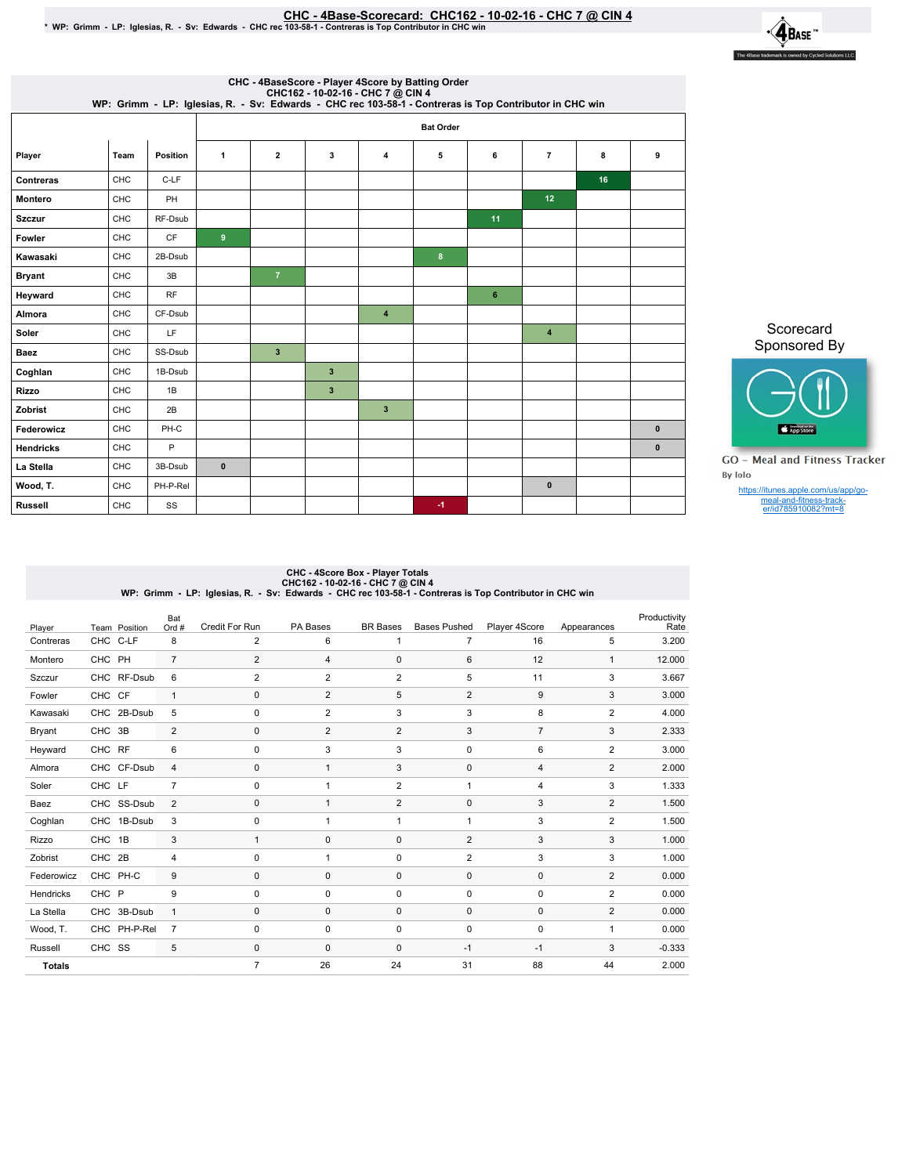## <u>CHC - 4Base-Scorecard: CHC162 - 10-02-16 - CHC 7 @ CIN 4.</u><br>WP: Grimm - LP: Iglesias, R. - Sv: Edwards - CHC rec 103-58-1 - Contreras is Top Contributor in CHC win \*

 $\cdot \mathbf{A}_{\text{Base}}$ The 4Base trademark is owned by Cycled Solutions LLC.

|                  |      |                 |              |                         |                         | CHC - 4BaseScore - Player 4Score by Batting Order<br>CHC162 - 10-02-16 - CHC 7 @ CIN 4<br>WP: Grimm - LP: Iglesias, R. - Sv: Edwards - CHC rec 103-58-1 - Contreras is Top Contributor in CHC win |                  |    |                |    |              |
|------------------|------|-----------------|--------------|-------------------------|-------------------------|---------------------------------------------------------------------------------------------------------------------------------------------------------------------------------------------------|------------------|----|----------------|----|--------------|
|                  |      |                 |              |                         |                         |                                                                                                                                                                                                   | <b>Bat Order</b> |    |                |    |              |
| Player           | Team | <b>Position</b> | 1            | $\overline{2}$          | 3                       | 4                                                                                                                                                                                                 | 5                | 6  | $\overline{7}$ | 8  | 9            |
| Contreras        | CHC  | C-LF            |              |                         |                         |                                                                                                                                                                                                   |                  |    |                | 16 |              |
| <b>Montero</b>   | CHC  | PH              |              |                         |                         |                                                                                                                                                                                                   |                  |    | 12             |    |              |
| <b>Szczur</b>    | CHC  | RF-Dsub         |              |                         |                         |                                                                                                                                                                                                   |                  | 11 |                |    |              |
| Fowler           | CHC  | <b>CF</b>       | 9            |                         |                         |                                                                                                                                                                                                   |                  |    |                |    |              |
| Kawasaki         | CHC  | 2B-Dsub         |              |                         |                         |                                                                                                                                                                                                   | 8                |    |                |    |              |
| <b>Bryant</b>    | CHC  | 3B              |              | $\overline{7}$          |                         |                                                                                                                                                                                                   |                  |    |                |    |              |
| Heyward          | CHC  | <b>RF</b>       |              |                         |                         |                                                                                                                                                                                                   |                  | 6  |                |    |              |
| Almora           | CHC  | CF-Dsub         |              |                         |                         | $\overline{4}$                                                                                                                                                                                    |                  |    |                |    |              |
| Soler            | CHC  | LF              |              |                         |                         |                                                                                                                                                                                                   |                  |    | $\overline{4}$ |    |              |
| <b>Baez</b>      | CHC  | SS-Dsub         |              | $\overline{\mathbf{3}}$ |                         |                                                                                                                                                                                                   |                  |    |                |    |              |
| Coghlan          | CHC  | 1B-Dsub         |              |                         | $\overline{\mathbf{3}}$ |                                                                                                                                                                                                   |                  |    |                |    |              |
| <b>Rizzo</b>     | CHC  | 1B              |              |                         | $\overline{\mathbf{3}}$ |                                                                                                                                                                                                   |                  |    |                |    |              |
| Zobrist          | CHC  | 2B              |              |                         |                         | $\overline{\mathbf{3}}$                                                                                                                                                                           |                  |    |                |    |              |
| Federowicz       | CHC  | PH-C            |              |                         |                         |                                                                                                                                                                                                   |                  |    |                |    | $\bf{0}$     |
| <b>Hendricks</b> | CHC  | P               |              |                         |                         |                                                                                                                                                                                                   |                  |    |                |    | $\mathbf{0}$ |
| La Stella        | CHC  | 3B-Dsub         | $\mathbf{0}$ |                         |                         |                                                                                                                                                                                                   |                  |    |                |    |              |
| Wood, T.         | CHC  | PH-P-Rel        |              |                         |                         |                                                                                                                                                                                                   |                  |    | $\mathbf{0}$   |    |              |
| <b>Russell</b>   | CHC  | SS              |              |                         |                         |                                                                                                                                                                                                   | $-1$             |    |                |    |              |

Scorecard Sponsored By



**GO** - Meal and Fitness Tracker By Iolo

https://itunes.apple.com/us/app/go-meal-and-fitness-track-er/id785910082?mt=8

## CHC - 4Score Box - Player Totals<br>CHC162 - 10-02-16<br>WP: Grimm - LP: Iglesias, R. - Sv: Edwards - CHC rec 103-58-1 - Contreras is Top Contributor in CHC win

| Player        |        | Team Position | Bat<br>Ord #   | <b>Credit For Run</b> | PA Bases       | <b>BR</b> Bases | <b>Bases Pushed</b> | Player 4Score  | Appearances    | Productivity<br>Rate |
|---------------|--------|---------------|----------------|-----------------------|----------------|-----------------|---------------------|----------------|----------------|----------------------|
| Contreras     |        | CHC C-LF      | 8              | 2                     | 6              | 1               | $\overline{7}$      | 16             | 5              | 3.200                |
| Montero       | CHC PH |               | $\overline{7}$ | $\overline{c}$        | 4              | $\mathbf 0$     | 6                   | 12             | $\mathbf{1}$   | 12.000               |
| Szczur        |        | CHC RF-Dsub   | 6              | $\overline{2}$        | $\overline{2}$ | $\overline{2}$  | 5                   | 11             | 3              | 3.667                |
| Fowler        | CHC CF |               | $\mathbf{1}$   | $\mathbf 0$           | $\overline{2}$ | 5               | $\overline{2}$      | 9              | 3              | 3.000                |
| Kawasaki      |        | CHC 2B-Dsub   | 5              | $\mathbf 0$           | $\overline{2}$ | 3               | 3                   | 8              | $\overline{2}$ | 4.000                |
| Bryant        | CHC    | 3B            | 2              | $\mathbf 0$           | 2              | 2               | 3                   | $\overline{7}$ | 3              | 2.333                |
| Heyward       | CHC RF |               | 6              | 0                     | 3              | 3               | 0                   | 6              | $\overline{2}$ | 3.000                |
| Almora        |        | CHC CF-Dsub   | $\overline{4}$ | $\mathbf 0$           | $\mathbf{1}$   | 3               | $\mathbf{0}$        | $\overline{4}$ | 2              | 2.000                |
| Soler         | CHC LF |               | $\overline{7}$ | 0                     | 1              | $\overline{2}$  | 1                   | 4              | 3              | 1.333                |
| Baez          |        | CHC SS-Dsub   | 2              | $\mathbf 0$           | $\mathbf{1}$   | $\overline{2}$  | $\mathbf 0$         | 3              | $\overline{2}$ | 1.500                |
| Coghlan       |        | CHC 1B-Dsub   | 3              | 0                     | 1              | 1               | 1                   | 3              | $\overline{2}$ | 1.500                |
| Rizzo         | CHC 1B |               | 3              | $\mathbf{1}$          | $\Omega$       | $\mathbf 0$     | 2                   | 3              | 3              | 1.000                |
| Zobrist       | CHC 2B |               | $\overline{4}$ | 0                     | 1              | $\mathbf 0$     | $\overline{2}$      | 3              | 3              | 1.000                |
| Federowicz    |        | CHC PH-C      | 9              | $\mathbf 0$           | $\mathbf 0$    | $\mathbf 0$     | $\mathbf{0}$        | $\mathbf 0$    | $\overline{2}$ | 0.000                |
| Hendricks     | CHC P  |               | 9              | $\Omega$              | $\Omega$       | $\mathbf 0$     | 0                   | 0              | $\overline{2}$ | 0.000                |
| La Stella     |        | CHC 3B-Dsub   | $\overline{1}$ | $\mathbf 0$           | $\mathbf 0$    | $\mathbf 0$     | $\mathbf{0}$        | $\mathbf 0$    | $\overline{2}$ | 0.000                |
| Wood, T.      |        | CHC PH-P-Rel  | $\overline{7}$ | 0                     | 0              | $\mathbf 0$     | $\mathbf 0$         | $\mathbf 0$    | $\mathbf{1}$   | 0.000                |
| Russell       | CHC SS |               | 5              | $\mathbf 0$           | $\mathbf 0$    | $\mathbf 0$     | $-1$                | $-1$           | 3              | $-0.333$             |
| <b>Totals</b> |        |               |                | $\overline{7}$        | 26             | 24              | 31                  | 88             | 44             | 2.000                |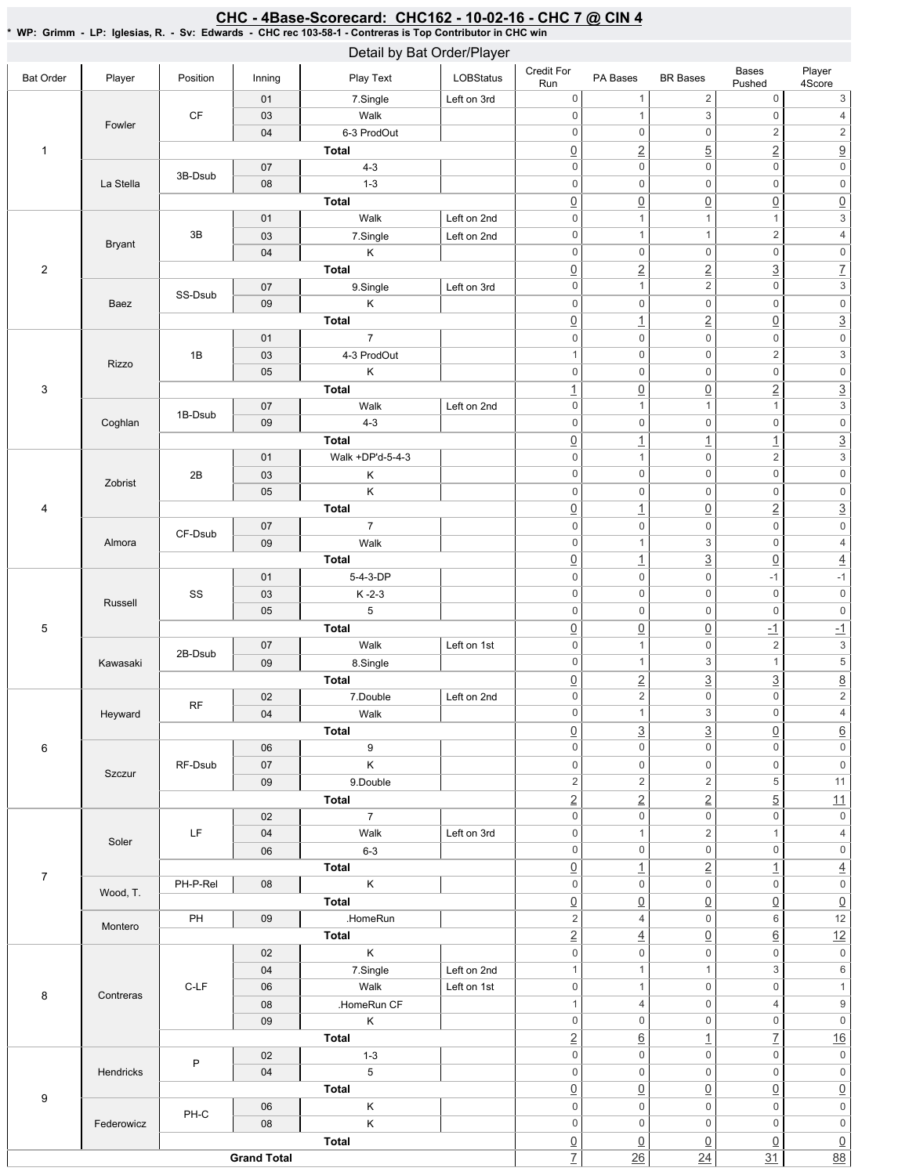## CHC - 4Base-Scorecard: CHC162 - 10-02-16 - CHC 7 @ CIN 4

\* WP: Grimm - LP: Iglesias, R. - Sv: Edwards - CHC rec 103-58-1 - Contreras is Top Contributor in CHC win

|                  |               |           |                    | Detail by Bat Order/Player |             |                                       |                                    |                                    |                                |                                       |
|------------------|---------------|-----------|--------------------|----------------------------|-------------|---------------------------------------|------------------------------------|------------------------------------|--------------------------------|---------------------------------------|
| <b>Bat Order</b> | Player        | Position  | Inning             | Play Text                  | LOBStatus   | Credit For<br>Run                     | PA Bases                           | <b>BR</b> Bases                    | Bases<br>Pushed                | Player<br>4Score                      |
|                  |               |           | 01                 | 7.Single                   | Left on 3rd | 0                                     | $\overline{1}$                     | $\sqrt{2}$                         | $\mathsf{O}\xspace$            | 3                                     |
|                  | Fowler        | <b>CF</b> | 03                 | Walk                       |             | $\mathsf{O}\xspace$                   | $\overline{1}$                     | $\ensuremath{\mathsf{3}}$          | $\mathsf{O}\xspace$            | $\overline{4}$                        |
|                  |               |           | 04                 | 6-3 ProdOut                |             | 0                                     | $\mathbb O$                        | $\mathbf 0$                        | $\overline{\mathbf{c}}$        | $\overline{c}$                        |
| $\mathbf{1}$     |               |           |                    | Total                      |             | $\underline{0}$                       | $\underline{2}$                    | $\overline{5}$                     | $\overline{2}$                 | $\overline{9}$                        |
|                  |               | 3B-Dsub   | 07                 | $4 - 3$                    |             | $\mathsf{O}\xspace$                   | $\mathbf 0$                        | $\mathbf 0$                        | $\mathsf 0$                    | $\overline{0}$                        |
|                  | La Stella     |           | 08                 | $1 - 3$                    |             | $\mathsf{O}\xspace$                   | $\mathbb O$                        | $\mathbf 0$                        | $\mathsf 0$                    | $\mathsf{O}\xspace$                   |
|                  |               |           |                    | <b>Total</b>               |             | $\underline{0}$                       | $\underline{0}$                    | $\underline{0}$                    | $\underline{0}$                | $\underline{0}$                       |
|                  |               |           | 01                 | Walk                       | Left on 2nd | $\mathsf{O}\xspace$                   | $\overline{1}$                     | $\mathbf{1}$                       | $\mathbf{1}$                   | $\ensuremath{\mathsf{3}}$             |
|                  | <b>Bryant</b> | 3B        | 03                 | 7.Single                   | Left on 2nd | 0                                     | $\mathbf{1}$                       | $\mathbf{1}$                       | $\overline{\mathbf{c}}$        | $\overline{4}$                        |
|                  |               |           | 04                 | Κ                          |             | $\mathsf{O}\xspace$                   | $\mathbb O$                        | $\mathbf 0$                        | $\mathsf{O}\xspace$            | $\boldsymbol{0}$                      |
| $\overline{2}$   |               |           |                    | Total                      |             | $\underline{0}$                       | $\underline{2}$                    | $\overline{2}$                     | $\overline{3}$                 | $\overline{Z}$<br>$\overline{3}$      |
|                  |               | SS-Dsub   | 07                 | 9.Single                   | Left on 3rd | $\mathsf 0$                           | $\overline{1}$                     | $\sqrt{2}$                         | $\mathsf 0$                    | $\mathsf{O}\xspace$                   |
|                  | Baez          |           | 09                 | K<br><b>Total</b>          |             | $\boldsymbol{0}$                      | $\mathsf 0$                        | $\mathbf 0$                        | $\mathsf 0$                    | $\overline{3}$                        |
|                  |               |           | 01                 | $\overline{7}$             |             | $\underline{0}$<br>$\boldsymbol{0}$   | $\overline{1}$<br>$\mathbf 0$      | $\overline{2}$<br>$\mathbf 0$      | $\underline{0}$<br>$\mathsf 0$ | $\mathsf{O}\xspace$                   |
|                  |               | 1B        | 03                 | 4-3 ProdOut                |             | 1                                     | $\mathbb O$                        | $\mathbf 0$                        | $\overline{c}$                 | $\overline{3}$                        |
|                  | Rizzo         |           | 05                 | Κ                          |             | 0                                     | $\mathbb O$                        | $\mathbf 0$                        | $\mathsf{O}\xspace$            | $\mathsf{O}\xspace$                   |
| 3                |               |           |                    | Total                      |             |                                       |                                    |                                    | $\overline{2}$                 | $\overline{3}$                        |
|                  |               |           | 07                 | Walk                       | Left on 2nd | $\overline{1}$<br>$\mathsf{O}\xspace$ | $\underline{0}$<br>$\overline{1}$  | $\underline{0}$<br>$\mathbf{1}$    | $\mathbf{1}$                   | $\overline{3}$                        |
|                  | Coghlan       | 1B-Dsub   | 09                 | $4 - 3$                    |             | 0                                     | $\mathbb O$                        | $\mathbf 0$                        | $\mathsf{O}\xspace$            | $\mathsf{O}\xspace$                   |
|                  |               |           |                    | <b>Total</b>               |             | $\underline{0}$                       | $\overline{1}$                     | $\overline{1}$                     | $\overline{1}$                 | $\overline{3}$                        |
|                  |               |           | 01                 | Walk +DP'd-5-4-3           |             | 0                                     | $\mathbf{1}$                       | $\mathbf 0$                        | $\overline{c}$                 | $\overline{3}$                        |
|                  |               | 2B        | 03                 | Κ                          |             | 0                                     | $\mathbb O$                        | $\mathbf 0$                        | $\mathsf{O}\xspace$            | $\overline{\mathbf{0}}$               |
|                  | Zobrist       |           | 05                 | $\sf K$                    |             | $\mathsf{0}$                          | $\mathsf 0$                        | $\mathbf 0$                        | $\mathsf 0$                    | $\mathsf{O}\xspace$                   |
| 4                |               |           |                    | <b>Total</b>               |             | $\underline{0}$                       | $\overline{1}$                     | $\overline{0}$                     | $\overline{2}$                 | $\overline{3}$                        |
|                  |               |           | 07                 | $\overline{7}$             |             | $\mathsf{O}\xspace$                   | $\mathsf 0$                        | $\mathbf 0$                        | $\mathbf 0$                    | $\overline{\text{o}}$                 |
|                  | Almora        | CF-Dsub   | 09                 | Walk                       |             | 0                                     | $\overline{1}$                     | $\ensuremath{\mathsf{3}}$          | $\mathsf 0$                    | $\sqrt{4}$                            |
|                  |               |           |                    | Total                      |             | $\underline{0}$                       | $\overline{1}$                     | $\overline{3}$                     | $\underline{0}$                | $\overline{4}$                        |
|                  |               |           | 01                 | 5-4-3-DP                   |             | $\mathsf{O}\xspace$                   | $\mathbb O$                        | $\mathbf 0$                        | $-1$                           | $-1$                                  |
|                  |               | SS        | 03                 | $K - 2 - 3$                |             | $\mathsf{O}\xspace$                   | $\boldsymbol{0}$                   | $\mathbf 0$                        | $\mathsf 0$                    | $\overline{\mathbf{0}}$               |
|                  | Russell       |           | 05                 | 5                          |             | $\mathsf{O}\xspace$                   | $\mathbb O$                        | $\mathbf 0$                        | $\mathbf 0$                    | $\mathsf{O}\xspace$                   |
| $\,$ 5 $\,$      |               |           |                    | Total                      |             | $\underline{0}$                       | $\underline{0}$                    | $\overline{0}$                     | $\overline{-1}$                | $-1$                                  |
|                  |               |           | 07                 | Walk                       | Left on 1st | $\mathsf{O}\xspace$                   | $\overline{1}$                     | $\mathbf 0$                        | $\sqrt{2}$                     | $\ensuremath{\mathsf{3}}$             |
|                  | Kawasaki      | 2B-Dsub   | 09                 | 8.Single                   |             | 0                                     | $\mathbf{1}$                       | $\ensuremath{\mathsf{3}}$          | $\mathbf{1}$                   | $\overline{\mathbf{5}}$               |
|                  |               |           |                    | <b>Total</b>               |             | $\underline{0}$                       | $\overline{2}$                     | $\overline{3}$                     | $\overline{3}$                 |                                       |
|                  |               |           | 02                 | 7.Double                   | Left on 2nd | $\mathsf 0$                           | $\sqrt{2}$                         | $\mathbf 0$                        | $\mathsf 0$                    | $\frac{8}{2}$                         |
|                  | Heyward       | RF        | 04                 | Walk                       |             | 0                                     | $\mathbf{1}$                       | 3                                  | 0                              | 4                                     |
|                  |               |           |                    | <b>Total</b>               |             | $\underline{0}$                       | $\overline{3}$                     | $\overline{3}$                     | $\underline{0}$                | $\underline{6}$                       |
| 6                |               |           | 06                 | 9                          |             | 0                                     | $\mathsf 0$                        | $\mathbf 0$                        | $\mathsf 0$                    | $\overline{\text{o}}$                 |
|                  |               | RF-Dsub   | 07                 | $\sf K$                    |             | 0                                     | $\mathsf 0$                        | $\boldsymbol{0}$                   | $\mathsf 0$                    | $\mathsf{O}\xspace$                   |
|                  | Szczur        |           | 09                 | 9.Double                   |             | $\overline{c}$                        | $\overline{2}$                     | $\sqrt{2}$                         | 5                              | 11                                    |
|                  |               |           |                    | Total                      |             | $\overline{2}$                        | $\underline{2}$                    | $\overline{2}$                     | $\overline{5}$                 | 11                                    |
|                  |               |           | 02                 | $\overline{7}$             |             | $\mathsf{O}\xspace$                   | $\mathsf 0$                        | $\mathbf 0$                        | $\mathbf 0$                    | $\mathsf{O}\xspace$                   |
|                  | Soler         | LF        | 04                 | Walk                       | Left on 3rd | 0                                     | $\mathbf{1}$                       | $\sqrt{2}$                         | $\mathbf{1}$                   | $\overline{4}$                        |
|                  |               |           | 06                 | $6 - 3$                    |             | 0                                     | $\mathsf 0$                        | $\mathbf 0$                        | $\mathsf 0$                    | $\mathsf{0}$                          |
| $\overline{7}$   |               |           |                    | <b>Total</b>               |             | $\underline{0}$                       | $\overline{1}$                     | $\overline{2}$                     | $\overline{1}$                 | $\overline{4}$                        |
|                  | Wood, T.      | PH-P-Rel  | 08                 | $\sf K$                    |             | 0                                     | $\mathbf 0$                        | $\mathbf 0$                        | $\mathsf 0$                    | $\mathsf{O}\xspace$                   |
|                  |               |           |                    | <b>Total</b>               |             | $\underline{0}$                       | $\underline{0}$                    | $\underline{0}$                    | $\underline{0}$                | $\underline{0}$                       |
|                  | Montero       | PH        | 09                 | .HomeRun                   |             | $\overline{2}$                        | 4                                  | $\mathbf 0$                        | 6                              | $\overline{12}$                       |
|                  |               |           |                    | <b>Total</b>               |             | $\underline{2}$                       | $\underline{4}$                    | $\underline{0}$                    | $\underline{6}$                | 12                                    |
|                  |               |           | 02                 | $\sf K$                    |             | $\mathsf{O}\xspace$                   | $\mathsf 0$                        | $\mathbf 0$                        | $\mathsf{O}\xspace$            | $\mathsf{O}\xspace$                   |
|                  |               |           | 04                 | 7.Single                   | Left on 2nd | $\mathbf{1}$                          | $\mathbf{1}$                       | $\mathbf{1}$                       | 3                              | $\sqrt{6}$                            |
| 8                | Contreras     | $C-LF$    | 06                 | Walk                       | Left on 1st | 0                                     | $\mathbf{1}$                       | $\mathbf 0$                        | $\mathsf 0$                    | $\mathbf{1}$                          |
|                  |               |           | 08                 | .HomeRun CF                |             | $\mathbf{1}$                          | $\overline{4}$                     | $\mathbf 0$                        | 4                              | $\boldsymbol{9}$                      |
|                  |               |           | 09                 | Κ                          |             | 0                                     | $\mathbf 0$                        | $\mathbf 0$                        | $\mathsf 0$                    | $\mathsf{O}\xspace$                   |
|                  |               |           |                    | <b>Total</b>               |             | $\underline{2}$                       | $\underline{6}$                    | $\overline{1}$                     | $\overline{1}$                 | 16                                    |
|                  |               | P         | 02                 | $1 - 3$                    |             | 0                                     | $\mathsf 0$                        | $\mathbf 0$                        | $\mathsf 0$                    | $\mathsf{O}\xspace$                   |
|                  | Hendricks     |           | 04                 | $5\phantom{.0}$            |             | 0                                     | $\mathsf 0$                        | $\mathbf 0$                        | $\mathsf 0$                    | $\mathsf{O}\xspace$                   |
| 9                |               |           |                    | Total                      |             | $\underline{0}$                       | $\underline{0}$                    | $\underline{0}$                    | $\underline{0}$                | $\underline{0}$                       |
|                  |               | PH-C      | 06                 | K                          |             | 0<br>0                                | $\mathbf 0$<br>$\mathbf 0$         | $\mathbf 0$<br>$\mathbf 0$         | $\mathsf 0$<br>$\mathsf 0$     | $\mathsf{O}\xspace$<br>$\overline{0}$ |
|                  | Federowicz    |           | 08                 | $\sf K$                    |             |                                       |                                    |                                    |                                |                                       |
|                  |               |           | <b>Grand Total</b> | <b>Total</b>               |             | $\underline{0}$<br>$\overline{I}$     | $\underline{0}$<br>$\overline{26}$ | $\underline{0}$<br>$\overline{24}$ | $\underline{0}$<br>31          | $\frac{0}{88}$                        |
|                  |               |           |                    |                            |             |                                       |                                    |                                    |                                |                                       |